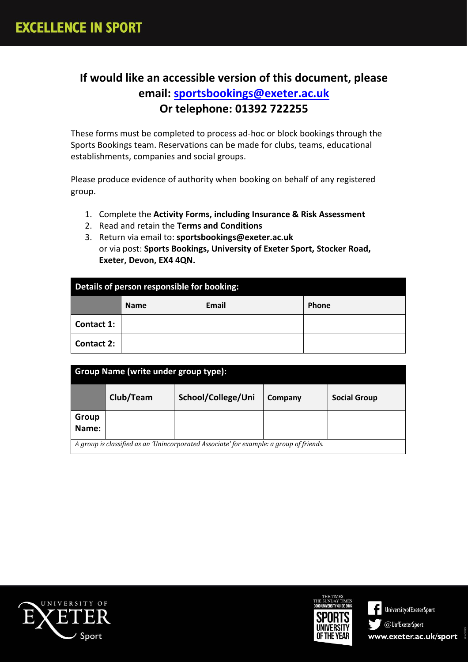# **If would like an accessible version of this document, please email: [sportsbookings@exeter.ac.uk](mailto:sportsbookings@exeter.ac.uk) Or telephone: 01392 722255**

These forms must be completed to process ad-hoc or block bookings through the Sports Bookings team. Reservations can be made for clubs, teams, educational establishments, companies and social groups.

Please produce evidence of authority when booking on behalf of any registered group.

- 1. Complete the **Activity Forms, including Insurance & Risk Assessment**
- 2. Read and retain the **Terms and Conditions**
- 3. Return via email to: **sportsbookings@exeter.ac.uk**  or via post: **Sports Bookings, University of Exeter Sport, Stocker Road, Exeter, Devon, EX4 4QN.**

| Details of person responsible for booking: |             |       |              |
|--------------------------------------------|-------------|-------|--------------|
|                                            | <b>Name</b> | Email | <b>Phone</b> |
| <b>Contact 1:</b>                          |             |       |              |
| <b>Contact 2:</b>                          |             |       |              |

| Group Name (write under group type):                                                    |           |                    |         |                     |
|-----------------------------------------------------------------------------------------|-----------|--------------------|---------|---------------------|
|                                                                                         | Club/Team | School/College/Uni | Company | <b>Social Group</b> |
| Group<br>Name:                                                                          |           |                    |         |                     |
| A group is classified as an 'Unincorporated Associate' for example: a group of friends. |           |                    |         |                     |



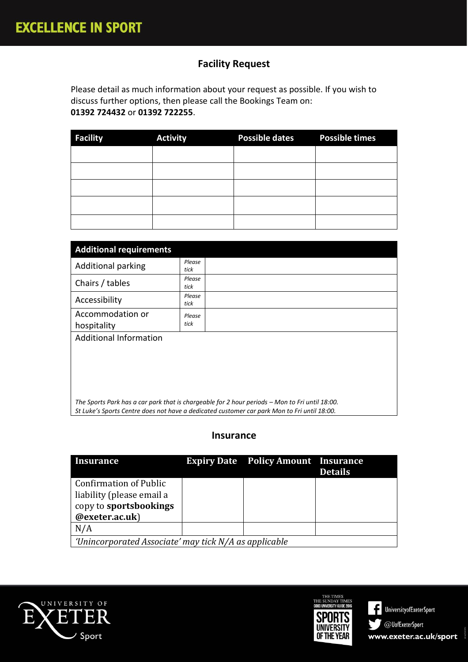## **Facility Request**

Please detail as much information about your request as possible. If you wish to discuss further options, then please call the Bookings Team on: **01392 724432** or **01392 722255**.

| <b>Facility</b> | <b>Activity</b> | <b>Possible dates</b> | <b>Possible times</b> |
|-----------------|-----------------|-----------------------|-----------------------|
|                 |                 |                       |                       |
|                 |                 |                       |                       |
|                 |                 |                       |                       |
|                 |                 |                       |                       |
|                 |                 |                       |                       |

| <b>Additional requirements</b>                                                                                                                                                                |                |  |  |
|-----------------------------------------------------------------------------------------------------------------------------------------------------------------------------------------------|----------------|--|--|
| <b>Additional parking</b>                                                                                                                                                                     | Please<br>tick |  |  |
| Chairs / tables                                                                                                                                                                               | Please<br>tick |  |  |
| Accessibility                                                                                                                                                                                 | Please<br>tick |  |  |
| Accommodation or<br>hospitality                                                                                                                                                               | Please<br>tick |  |  |
| <b>Additional Information</b>                                                                                                                                                                 |                |  |  |
|                                                                                                                                                                                               |                |  |  |
|                                                                                                                                                                                               |                |  |  |
|                                                                                                                                                                                               |                |  |  |
| The Sports Park has a car park that is chargeable for 2 hour periods - Mon to Fri until 18:00.<br>St Luke's Sports Centre does not have a dedicated customer car park Mon to Fri until 18:00. |                |  |  |

#### **Insurance**

| <b>Insurance</b>                                           |  | <b>Expiry Date</b> Policy Amount Insurance | <b>Details</b> |
|------------------------------------------------------------|--|--------------------------------------------|----------------|
| <b>Confirmation of Public</b><br>liability (please email a |  |                                            |                |
| copy to sportsbookings                                     |  |                                            |                |
| @exeter.ac.uk)                                             |  |                                            |                |
| N/A                                                        |  |                                            |                |
| 'Unincorporated Associate' may tick N/A as applicable      |  |                                            |                |



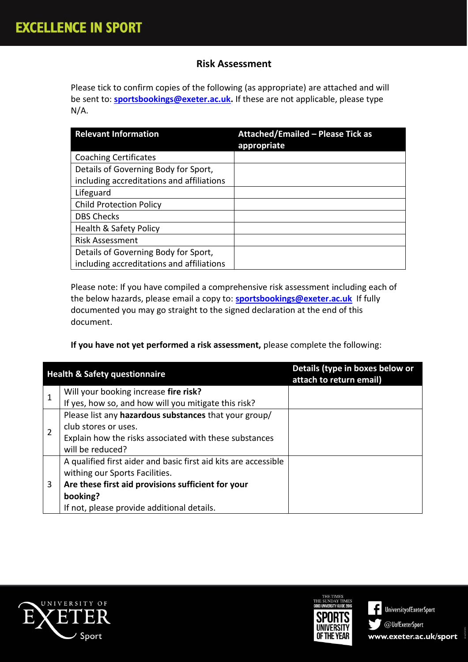### **Risk Assessment**

Please tick to confirm copies of the following (as appropriate) are attached and will be sent to: **[sportsbookings@exeter.ac.uk.](mailto:sportsbookings@exeter.ac.uk)** If these are not applicable, please type N/A.

| <b>Relevant Information</b>               | <b>Attached/Emailed - Please Tick as</b><br>appropriate |
|-------------------------------------------|---------------------------------------------------------|
| <b>Coaching Certificates</b>              |                                                         |
| Details of Governing Body for Sport,      |                                                         |
| including accreditations and affiliations |                                                         |
| Lifeguard                                 |                                                         |
| <b>Child Protection Policy</b>            |                                                         |
| <b>DBS Checks</b>                         |                                                         |
| Health & Safety Policy                    |                                                         |
| <b>Risk Assessment</b>                    |                                                         |
| Details of Governing Body for Sport,      |                                                         |
| including accreditations and affiliations |                                                         |

Please note: If you have compiled a comprehensive risk assessment including each of the below hazards, please email a copy to: **[sportsbookings@exeter.ac.uk](mailto:sportsbookings@exeter.ac.uk)** If fully documented you may go straight to the signed declaration at the end of this document.

#### **If you have not yet performed a risk assessment,** please complete the following:

|                | <b>Health &amp; Safety questionnaire</b>                        | Details (type in boxes below or<br>attach to return email) |
|----------------|-----------------------------------------------------------------|------------------------------------------------------------|
|                | Will your booking increase fire risk?                           |                                                            |
|                | If yes, how so, and how will you mitigate this risk?            |                                                            |
|                | Please list any hazardous substances that your group/           |                                                            |
| $\overline{2}$ | club stores or uses.                                            |                                                            |
|                | Explain how the risks associated with these substances          |                                                            |
|                | will be reduced?                                                |                                                            |
|                | A qualified first aider and basic first aid kits are accessible |                                                            |
|                | withing our Sports Facilities.                                  |                                                            |
| 3              | Are these first aid provisions sufficient for your              |                                                            |
|                | booking?                                                        |                                                            |
|                | If not, please provide additional details.                      |                                                            |